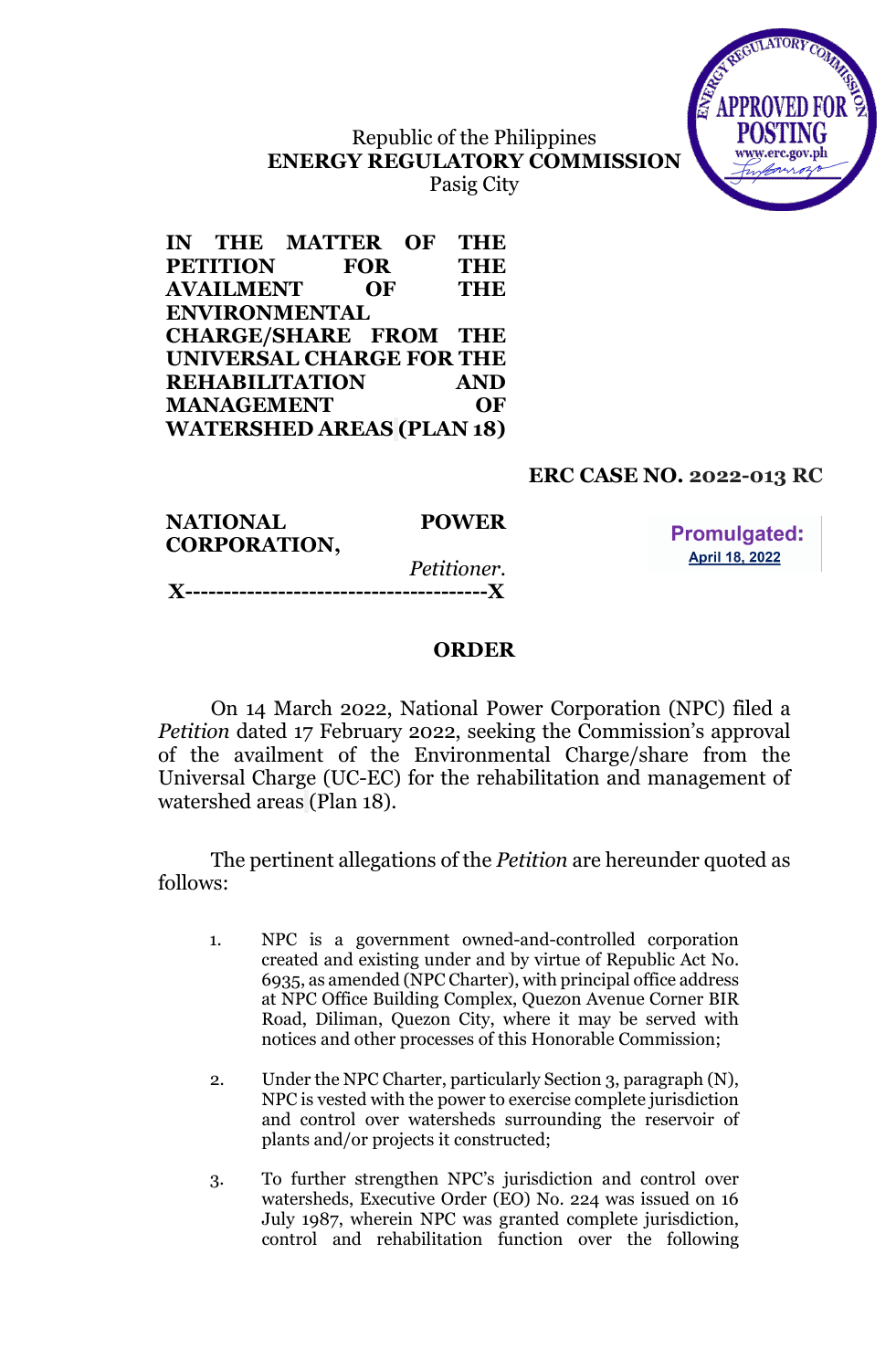# Republic of the Philippines **ENERGY REGULATORY COMMISSION**

Pasig City

|                   | IN THE MATTER OF                 |            | <b>THE</b> |
|-------------------|----------------------------------|------------|------------|
| <b>PETITION</b>   |                                  | <b>FOR</b> | <b>THE</b> |
| <b>AVAILMENT</b>  |                                  | OF         | <b>THE</b> |
|                   | <b>ENVIRONMENTAL</b>             |            |            |
|                   | <b>CHARGE/SHARE FROM THE</b>     |            |            |
|                   | UNIVERSAL CHARGE FOR THE         |            |            |
|                   | <b>REHABILITATION</b>            |            | <b>AND</b> |
| <b>MANAGEMENT</b> |                                  |            | OF         |
|                   | <b>WATERSHED AREAS (PLAN 18)</b> |            |            |

## **ERC CASE NO. 2022-013 RC**

TILATORY

| <b>NATIONAL</b><br><b>CORPORATION,</b> | <b>POWER</b>       | <b>Promulgated:</b>   |
|----------------------------------------|--------------------|-----------------------|
|                                        | <i>Petitioner.</i> | <b>April 18, 2022</b> |
|                                        |                    |                       |

## **ORDER**

On 14 March 2022, National Power Corporation (NPC) filed a *Petition* dated 17 February 2022, seeking the Commission's approval of the availment of the Environmental Charge/share from the Universal Charge (UC-EC) for the rehabilitation and management of watershed areas (Plan 18).

The pertinent allegations of the *Petition* are hereunder quoted as follows:

- 1. NPC is a government owned-and-controlled corporation created and existing under and by virtue of Republic Act No. 6935, as amended (NPC Charter), with principal office address at NPC Office Building Complex, Quezon Avenue Corner BIR Road, Diliman, Quezon City, where it may be served with notices and other processes of this Honorable Commission;
- 2. Under the NPC Charter, particularly Section 3, paragraph (N), NPC is vested with the power to exercise complete jurisdiction and control over watersheds surrounding the reservoir of plants and/or projects it constructed;
- 3. To further strengthen NPC's jurisdiction and control over watersheds, Executive Order (EO) No. 224 was issued on 16 July 1987, wherein NPC was granted complete jurisdiction, control and rehabilitation function over the following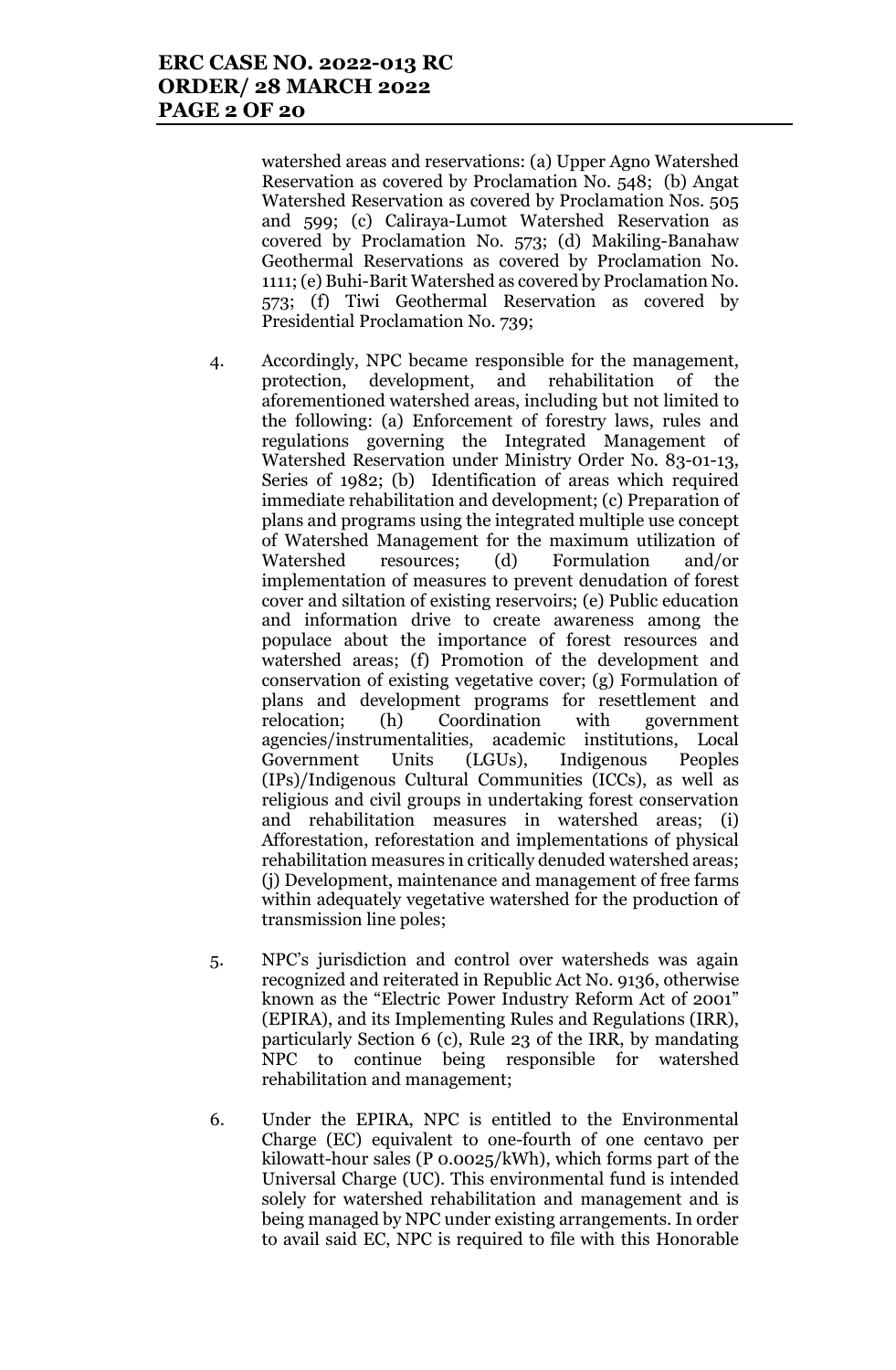watershed areas and reservations: (a) Upper Agno Watershed Reservation as covered by Proclamation No. 548; (b) Angat Watershed Reservation as covered by Proclamation Nos. 505 and 599; (c) Caliraya-Lumot Watershed Reservation as covered by Proclamation No. 573; (d) Makiling-Banahaw Geothermal Reservations as covered by Proclamation No. 1111; (e) Buhi-Barit Watershed as covered by Proclamation No. 573; (f) Tiwi Geothermal Reservation as covered by Presidential Proclamation No. 739;

- 4. Accordingly, NPC became responsible for the management, protection, development, and rehabilitation of the aforementioned watershed areas, including but not limited to the following: (a) Enforcement of forestry laws, rules and regulations governing the Integrated Management of Watershed Reservation under Ministry Order No. 83-01-13, Series of 1982; (b) Identification of areas which required immediate rehabilitation and development; (c) Preparation of plans and programs using the integrated multiple use concept of Watershed Management for the maximum utilization of Watershed resources; (d) Formulation and/or implementation of measures to prevent denudation of forest cover and siltation of existing reservoirs; (e) Public education and information drive to create awareness among the populace about the importance of forest resources and watershed areas; (f) Promotion of the development and conservation of existing vegetative cover; (g) Formulation of plans and development programs for resettlement and relocation; (h) Coordination with government agencies/instrumentalities, academic institutions, Local Government Units (LGUs), Indigenous Peoples (IPs)/Indigenous Cultural Communities (ICCs), as well as religious and civil groups in undertaking forest conservation and rehabilitation measures in watershed areas; (i) Afforestation, reforestation and implementations of physical rehabilitation measures in critically denuded watershed areas; (j) Development, maintenance and management of free farms within adequately vegetative watershed for the production of transmission line poles;
- 5. NPC's jurisdiction and control over watersheds was again recognized and reiterated in Republic Act No. 9136, otherwise known as the "Electric Power Industry Reform Act of 2001" (EPIRA), and its Implementing Rules and Regulations (IRR), particularly Section 6 (c), Rule 23 of the IRR, by mandating NPC to continue being responsible for watershed rehabilitation and management;
- 6. Under the EPIRA, NPC is entitled to the Environmental Charge (EC) equivalent to one-fourth of one centavo per kilowatt-hour sales (P 0.0025/kWh), which forms part of the Universal Charge (UC). This environmental fund is intended solely for watershed rehabilitation and management and is being managed by NPC under existing arrangements. In order to avail said EC, NPC is required to file with this Honorable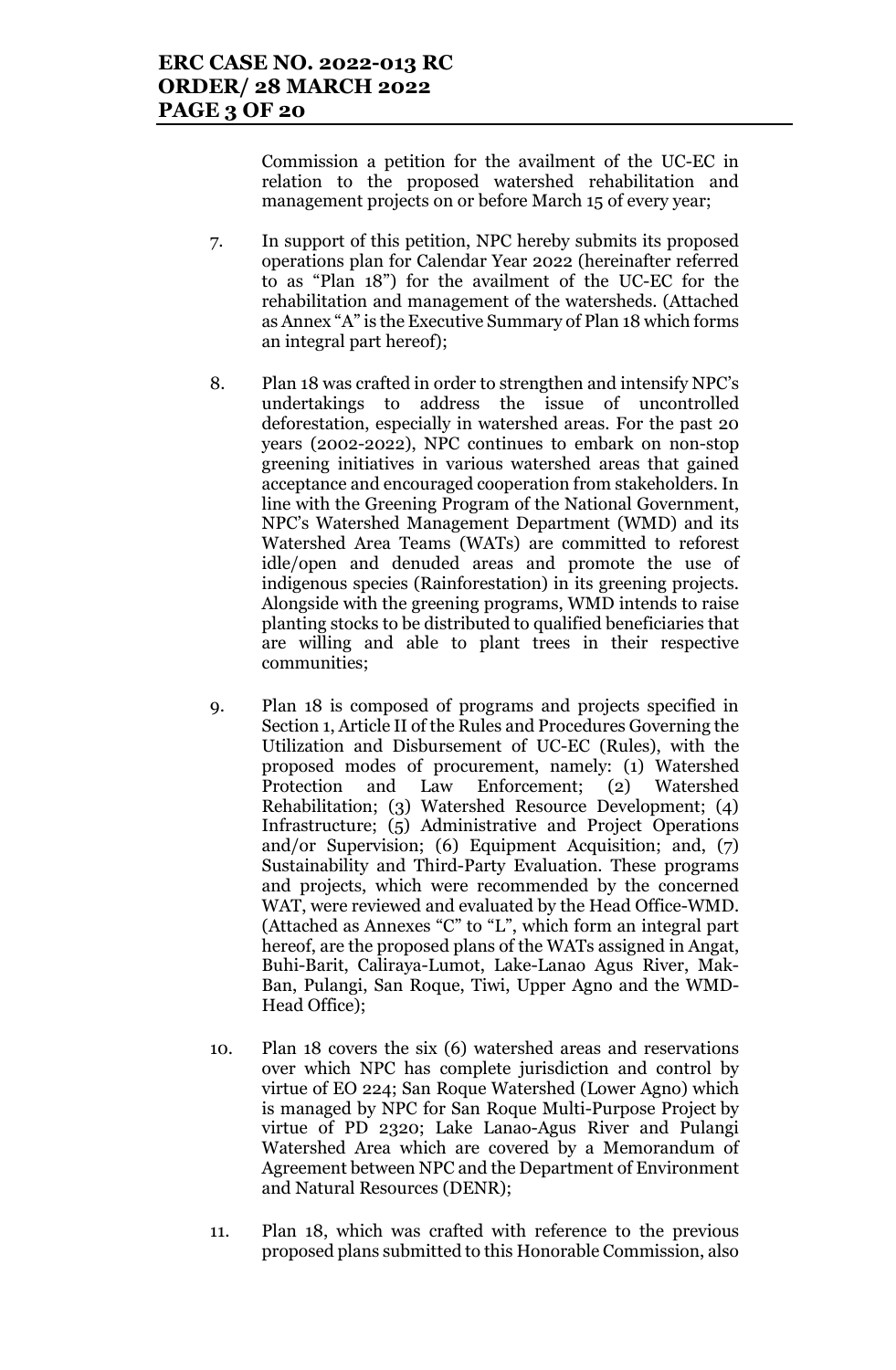Commission a petition for the availment of the UC-EC in relation to the proposed watershed rehabilitation and management projects on or before March 15 of every year;

- 7. In support of this petition, NPC hereby submits its proposed operations plan for Calendar Year 2022 (hereinafter referred to as "Plan 18") for the availment of the UC-EC for the rehabilitation and management of the watersheds. (Attached as Annex "A" is the Executive Summary of Plan 18 which forms an integral part hereof);
- 8. Plan 18 was crafted in order to strengthen and intensify NPC's undertakings to address the issue of uncontrolled deforestation, especially in watershed areas. For the past 20 years (2002-2022), NPC continues to embark on non-stop greening initiatives in various watershed areas that gained acceptance and encouraged cooperation from stakeholders. In line with the Greening Program of the National Government, NPC's Watershed Management Department (WMD) and its Watershed Area Teams (WATs) are committed to reforest idle/open and denuded areas and promote the use of indigenous species (Rainforestation) in its greening projects. Alongside with the greening programs, WMD intends to raise planting stocks to be distributed to qualified beneficiaries that are willing and able to plant trees in their respective communities;
- 9. Plan 18 is composed of programs and projects specified in Section 1, Article II of the Rules and Procedures Governing the Utilization and Disbursement of UC-EC (Rules), with the proposed modes of procurement, namely: (1) Watershed Protection and Law Enforcement; (2) Watershed Rehabilitation; (3) Watershed Resource Development; (4) Infrastructure; (5) Administrative and Project Operations and/or Supervision; (6) Equipment Acquisition; and, (7) Sustainability and Third-Party Evaluation. These programs and projects, which were recommended by the concerned WAT, were reviewed and evaluated by the Head Office-WMD. (Attached as Annexes "C" to "L", which form an integral part hereof, are the proposed plans of the WATs assigned in Angat, Buhi-Barit, Caliraya-Lumot, Lake-Lanao Agus River, Mak-Ban, Pulangi, San Roque, Tiwi, Upper Agno and the WMD-Head Office);
- 10. Plan 18 covers the six (6) watershed areas and reservations over which NPC has complete jurisdiction and control by virtue of EO 224; San Roque Watershed (Lower Agno) which is managed by NPC for San Roque Multi-Purpose Project by virtue of PD 2320; Lake Lanao-Agus River and Pulangi Watershed Area which are covered by a Memorandum of Agreement between NPC and the Department of Environment and Natural Resources (DENR);
- 11. Plan 18, which was crafted with reference to the previous proposed plans submitted to this Honorable Commission, also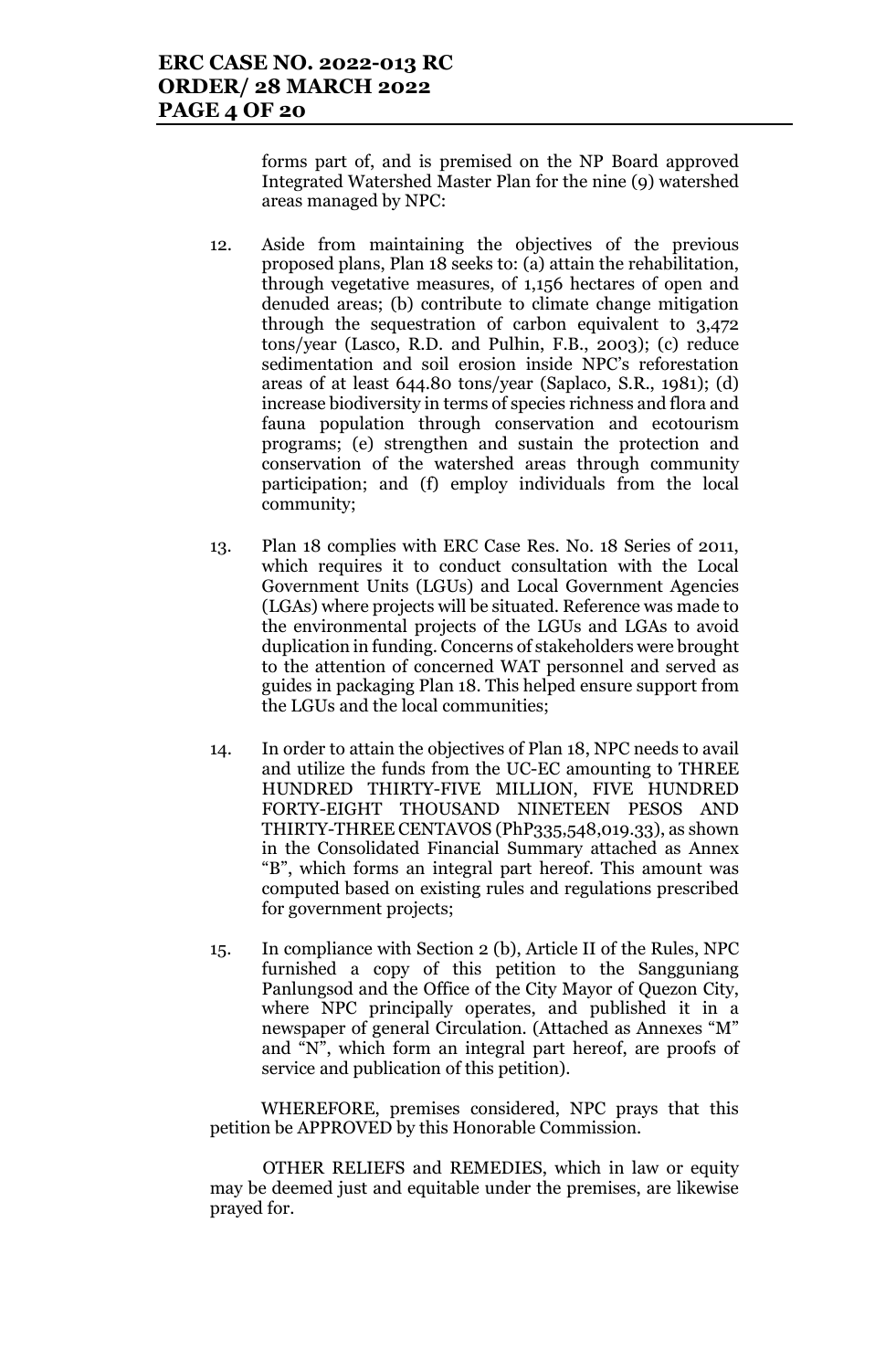forms part of, and is premised on the NP Board approved Integrated Watershed Master Plan for the nine (9) watershed areas managed by NPC:

- 12. Aside from maintaining the objectives of the previous proposed plans, Plan 18 seeks to: (a) attain the rehabilitation, through vegetative measures, of 1,156 hectares of open and denuded areas; (b) contribute to climate change mitigation through the sequestration of carbon equivalent to 3,472 tons/year (Lasco, R.D. and Pulhin, F.B., 2003); (c) reduce sedimentation and soil erosion inside NPC's reforestation areas of at least 644.80 tons/year (Saplaco, S.R., 1981); (d) increase biodiversity in terms of species richness and flora and fauna population through conservation and ecotourism programs; (e) strengthen and sustain the protection and conservation of the watershed areas through community participation; and (f) employ individuals from the local community;
- 13. Plan 18 complies with ERC Case Res. No. 18 Series of 2011, which requires it to conduct consultation with the Local Government Units (LGUs) and Local Government Agencies (LGAs) where projects will be situated. Reference was made to the environmental projects of the LGUs and LGAs to avoid duplication in funding. Concerns of stakeholders were brought to the attention of concerned WAT personnel and served as guides in packaging Plan 18. This helped ensure support from the LGUs and the local communities;
- 14. In order to attain the objectives of Plan 18, NPC needs to avail and utilize the funds from the UC-EC amounting to THREE HUNDRED THIRTY-FIVE MILLION, FIVE HUNDRED FORTY-EIGHT THOUSAND NINETEEN PESOS AND THIRTY-THREE CENTAVOS (PhP335,548,019.33), as shown in the Consolidated Financial Summary attached as Annex "B", which forms an integral part hereof. This amount was computed based on existing rules and regulations prescribed for government projects;
- 15. In compliance with Section 2 (b), Article II of the Rules, NPC furnished a copy of this petition to the Sangguniang Panlungsod and the Office of the City Mayor of Quezon City, where NPC principally operates, and published it in a newspaper of general Circulation. (Attached as Annexes "M" and "N", which form an integral part hereof, are proofs of service and publication of this petition).

WHEREFORE, premises considered, NPC prays that this petition be APPROVED by this Honorable Commission.

OTHER RELIEFS and REMEDIES, which in law or equity may be deemed just and equitable under the premises, are likewise prayed for.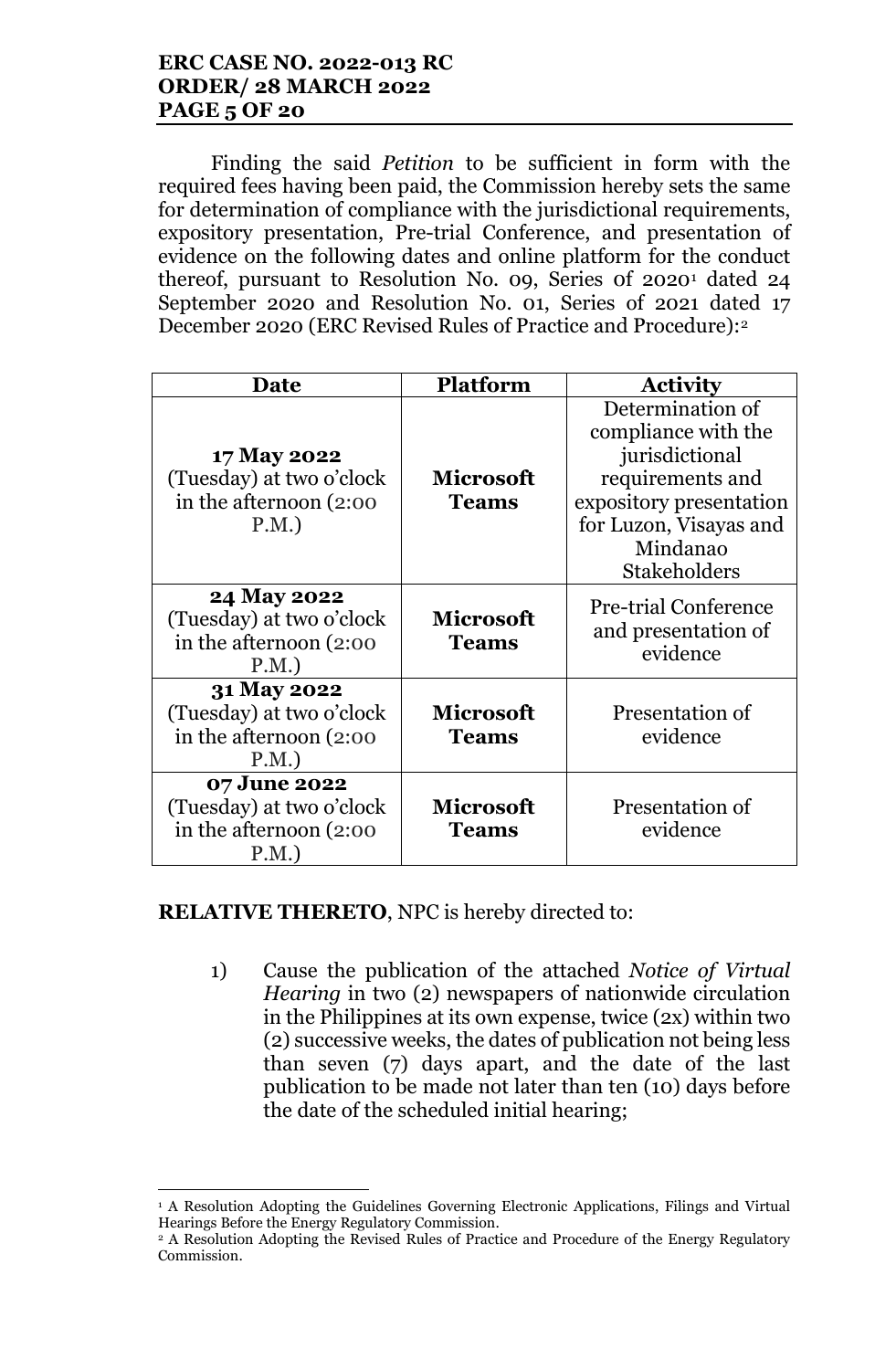Finding the said *Petition* to be sufficient in form with the required fees having been paid, the Commission hereby sets the same for determination of compliance with the jurisdictional requirements, expository presentation, Pre-trial Conference, and presentation of evidence on the following dates and online platform for the conduct thereof, pursuant to Resolution No. 09, Series 0f 20201 dated 24 September 2020 and Resolution No. 01, Series of 2021 dated 17 December 2020 (ERC Revised Rules of Practice and Procedure):2

| Date                                                                        | <b>Platform</b>                  | <b>Activity</b>                                                                                                                                                       |
|-----------------------------------------------------------------------------|----------------------------------|-----------------------------------------------------------------------------------------------------------------------------------------------------------------------|
| 17 May 2022<br>(Tuesday) at two o'clock<br>in the afternoon (2:00)<br>P.M.  | <b>Microsoft</b><br><b>Teams</b> | Determination of<br>compliance with the<br>jurisdictional<br>requirements and<br>expository presentation<br>for Luzon, Visayas and<br>Mindanao<br><b>Stakeholders</b> |
| 24 May 2022<br>(Tuesday) at two o'clock<br>in the afternoon (2:00)<br>P.M.  | <b>Microsoft</b><br><b>Teams</b> | <b>Pre-trial Conference</b><br>and presentation of<br>evidence                                                                                                        |
| 31 May 2022<br>(Tuesday) at two o'clock<br>in the afternoon (2:00<br>P.M.   | <b>Microsoft</b><br><b>Teams</b> | Presentation of<br>evidence                                                                                                                                           |
| 07 June 2022<br>(Tuesday) at two o'clock<br>in the afternoon (2:00)<br>P.M. | <b>Microsoft</b><br><b>Teams</b> | Presentation of<br>evidence                                                                                                                                           |

## **RELATIVE THERETO**, NPC is hereby directed to:

l

1) Cause the publication of the attached *Notice of Virtual Hearing* in two (2) newspapers of nationwide circulation in the Philippines at its own expense, twice (2x) within two (2) successive weeks, the dates of publication not being less than seven (7) days apart, and the date of the last publication to be made not later than ten (10) days before the date of the scheduled initial hearing;

<sup>1</sup> A Resolution Adopting the Guidelines Governing Electronic Applications, Filings and Virtual Hearings Before the Energy Regulatory Commission.

<sup>2</sup> A Resolution Adopting the Revised Rules of Practice and Procedure of the Energy Regulatory Commission.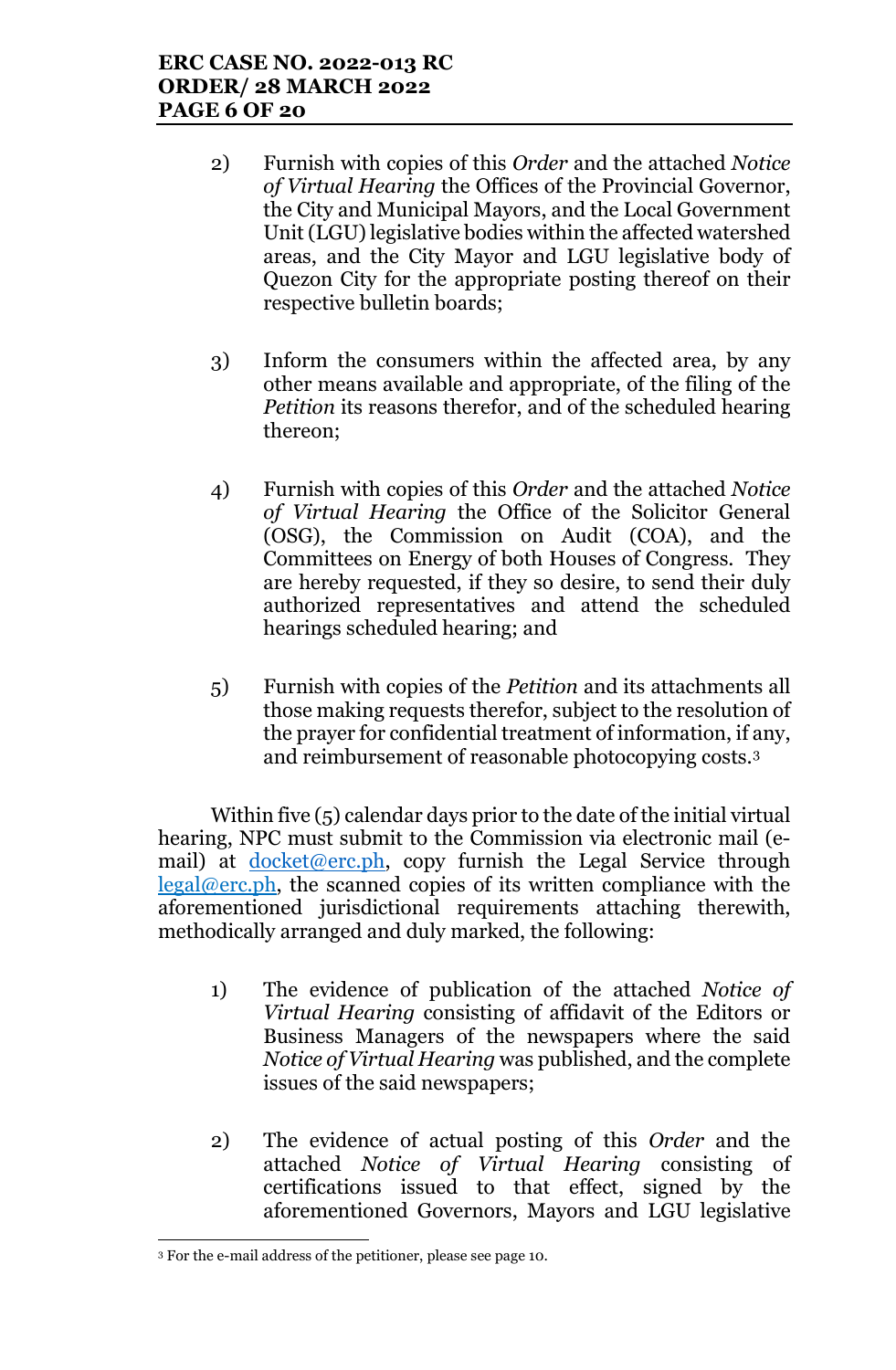- 2) Furnish with copies of this *Order* and the attached *Notice of Virtual Hearing* the Offices of the Provincial Governor, the City and Municipal Mayors, and the Local Government Unit (LGU) legislative bodies within the affected watershed areas, and the City Mayor and LGU legislative body of Quezon City for the appropriate posting thereof on their respective bulletin boards;
- 3) Inform the consumers within the affected area, by any other means available and appropriate, of the filing of the *Petition* its reasons therefor, and of the scheduled hearing thereon;
- 4) Furnish with copies of this *Order* and the attached *Notice of Virtual Hearing* the Office of the Solicitor General (OSG), the Commission on Audit (COA), and the Committees on Energy of both Houses of Congress. They are hereby requested, if they so desire, to send their duly authorized representatives and attend the scheduled hearings scheduled hearing; and
- 5) Furnish with copies of the *Petition* and its attachments all those making requests therefor, subject to the resolution of the prayer for confidential treatment of information, if any, and reimbursement of reasonable photocopying costs.3

Within five (5) calendar days prior to the date of the initial virtual hearing, NPC must submit to the Commission via electronic mail (email) at  $doeket@erc.ph$ , copy furnish the Legal Service through legal@erc.ph, the scanned copies of its written compliance with the aforementioned jurisdictional requirements attaching therewith, methodically arranged and duly marked, the following:

- 1) The evidence of publication of the attached *Notice of Virtual Hearing* consisting of affidavit of the Editors or Business Managers of the newspapers where the said *Notice of Virtual Hearing* was published, and the complete issues of the said newspapers;
- 2) The evidence of actual posting of this *Order* and the attached *Notice of Virtual Hearing* consisting of certifications issued to that effect, signed by the aforementioned Governors, Mayors and LGU legislative

l <sup>3</sup> For the e-mail address of the petitioner, please see page 10.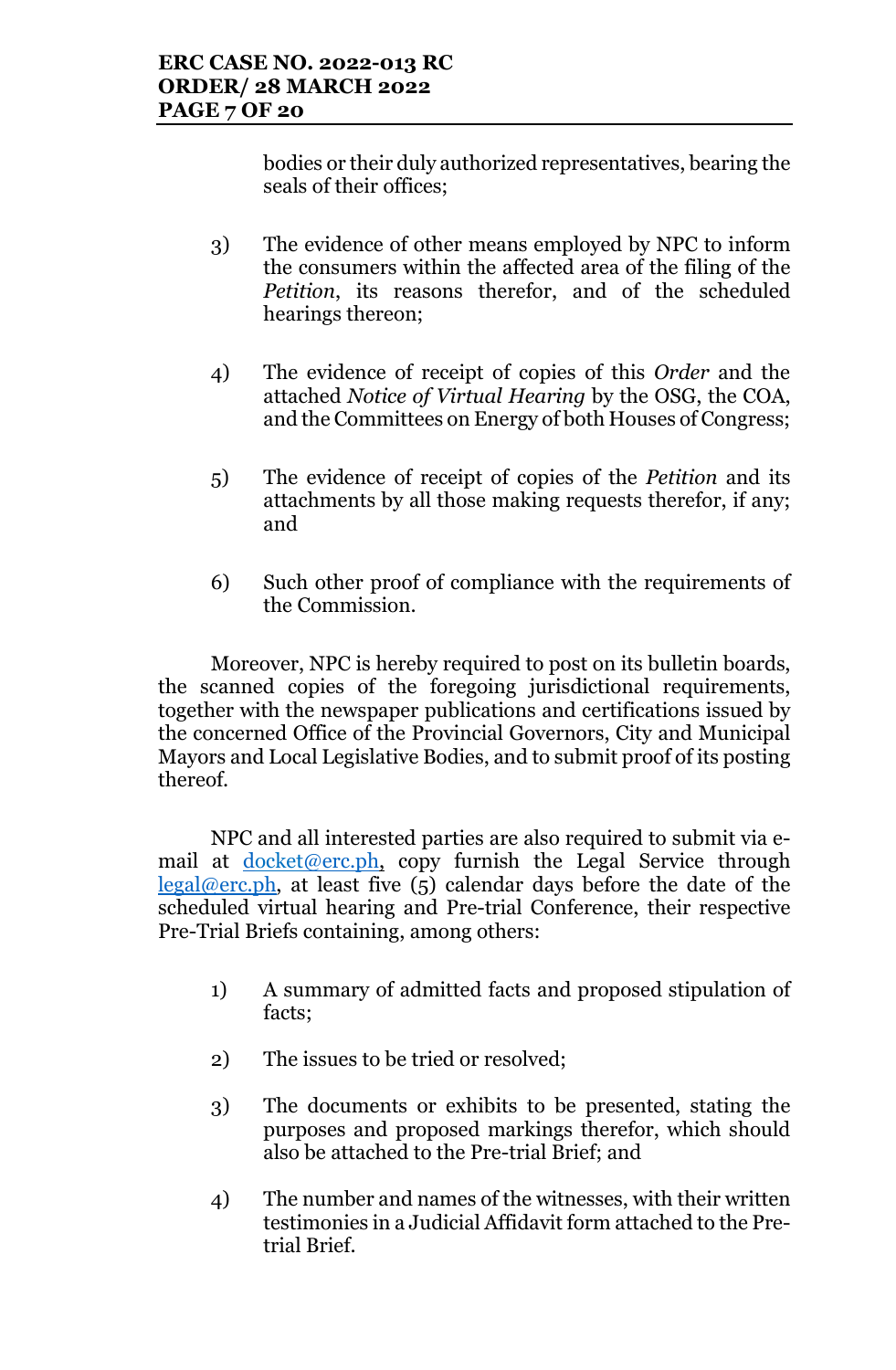bodies or their duly authorized representatives, bearing the seals of their offices;

- 3) The evidence of other means employed by NPC to inform the consumers within the affected area of the filing of the *Petition*, its reasons therefor, and of the scheduled hearings thereon;
- 4) The evidence of receipt of copies of this *Order* and the attached *Notice of Virtual Hearing* by the OSG, the COA, and the Committees on Energy of both Houses of Congress;
- 5) The evidence of receipt of copies of the *Petition* and its attachments by all those making requests therefor, if any; and
- 6) Such other proof of compliance with the requirements of the Commission.

Moreover, NPC is hereby required to post on its bulletin boards, the scanned copies of the foregoing jurisdictional requirements, together with the newspaper publications and certifications issued by the concerned Office of the Provincial Governors, City and Municipal Mayors and Local Legislative Bodies, and to submit proof of its posting thereof.

NPC and all interested parties are also required to submit via email at docket@erc.ph, copy furnish the Legal Service through legal@erc.ph, at least five  $(5)$  calendar days before the date of the scheduled virtual hearing and Pre-trial Conference, their respective Pre-Trial Briefs containing, among others:

- 1) A summary of admitted facts and proposed stipulation of facts;
- 2) The issues to be tried or resolved;
- 3) The documents or exhibits to be presented, stating the purposes and proposed markings therefor, which should also be attached to the Pre-trial Brief; and
- 4) The number and names of the witnesses, with their written testimonies in a Judicial Affidavit form attached to the Pretrial Brief.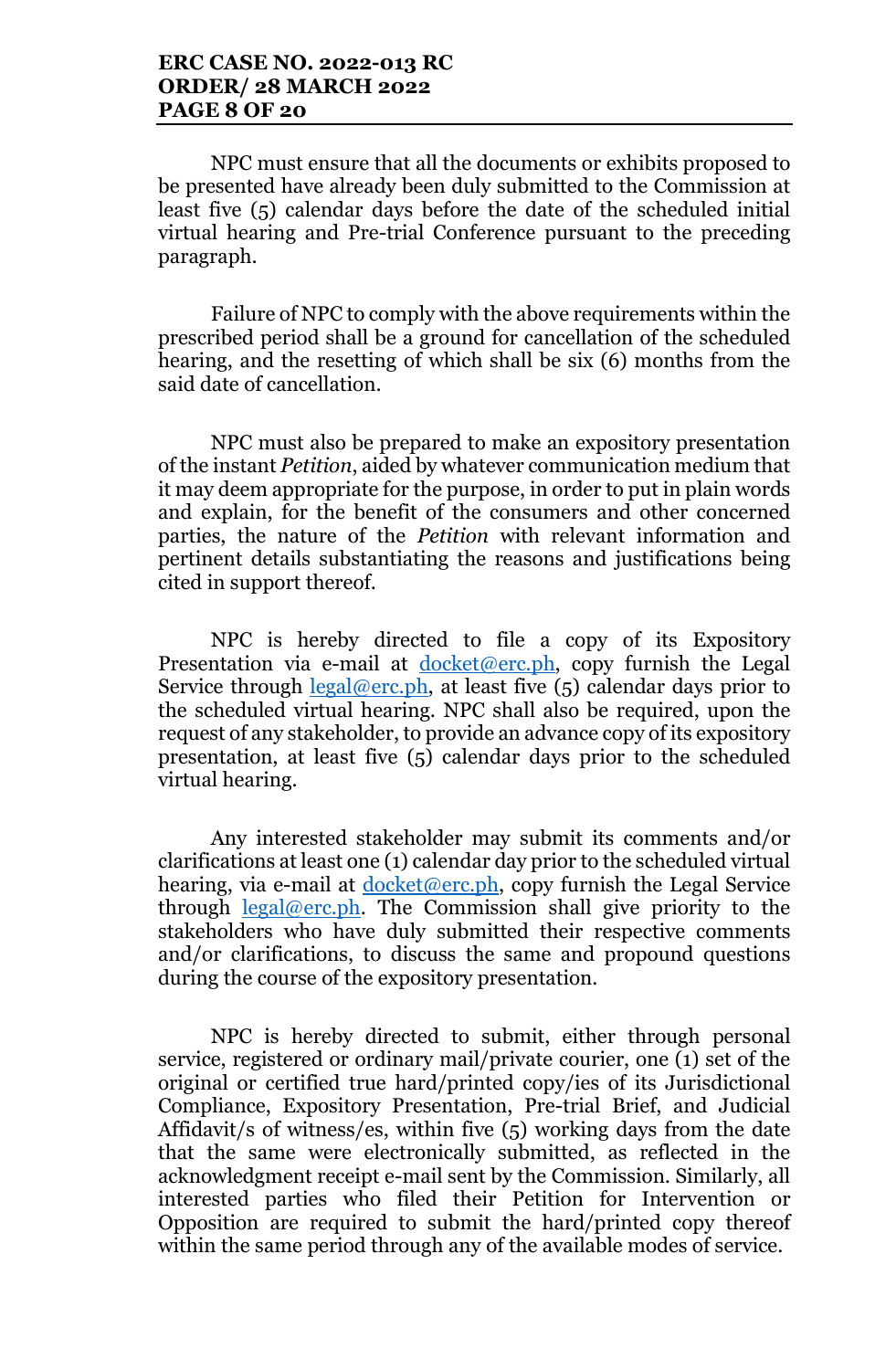NPC must ensure that all the documents or exhibits proposed to be presented have already been duly submitted to the Commission at least five (5) calendar days before the date of the scheduled initial virtual hearing and Pre-trial Conference pursuant to the preceding paragraph.

Failure of NPC to comply with the above requirements within the prescribed period shall be a ground for cancellation of the scheduled hearing, and the resetting of which shall be six (6) months from the said date of cancellation.

NPC must also be prepared to make an expository presentation of the instant *Petition*, aided by whatever communication medium that it may deem appropriate for the purpose, in order to put in plain words and explain, for the benefit of the consumers and other concerned parties, the nature of the *Petition* with relevant information and pertinent details substantiating the reasons and justifications being cited in support thereof.

NPC is hereby directed to file a copy of its Expository Presentation via e-mail at  $d$ ocket@erc.ph, copy furnish the Legal Service through  $\frac{\text{legal@erc.ph}}{\text{legal@erc.ph}}$ , at least five (5) calendar days prior to the scheduled virtual hearing. NPC shall also be required, upon the request of any stakeholder, to provide an advance copy of its expository presentation, at least five (5) calendar days prior to the scheduled virtual hearing.

Any interested stakeholder may submit its comments and/or clarifications at least one (1) calendar day prior to the scheduled virtual hearing, via e-mail at  $d$ ocket@erc.ph, copy furnish the Legal Service through  $\text{legal@erc.ph.}$  The Commission shall give priority to the stakeholders who have duly submitted their respective comments and/or clarifications, to discuss the same and propound questions during the course of the expository presentation.

NPC is hereby directed to submit, either through personal service, registered or ordinary mail/private courier, one (1) set of the original or certified true hard/printed copy/ies of its Jurisdictional Compliance, Expository Presentation, Pre-trial Brief, and Judicial Affidavit/s of witness/es, within five (5) working days from the date that the same were electronically submitted, as reflected in the acknowledgment receipt e-mail sent by the Commission. Similarly, all interested parties who filed their Petition for Intervention or Opposition are required to submit the hard/printed copy thereof within the same period through any of the available modes of service.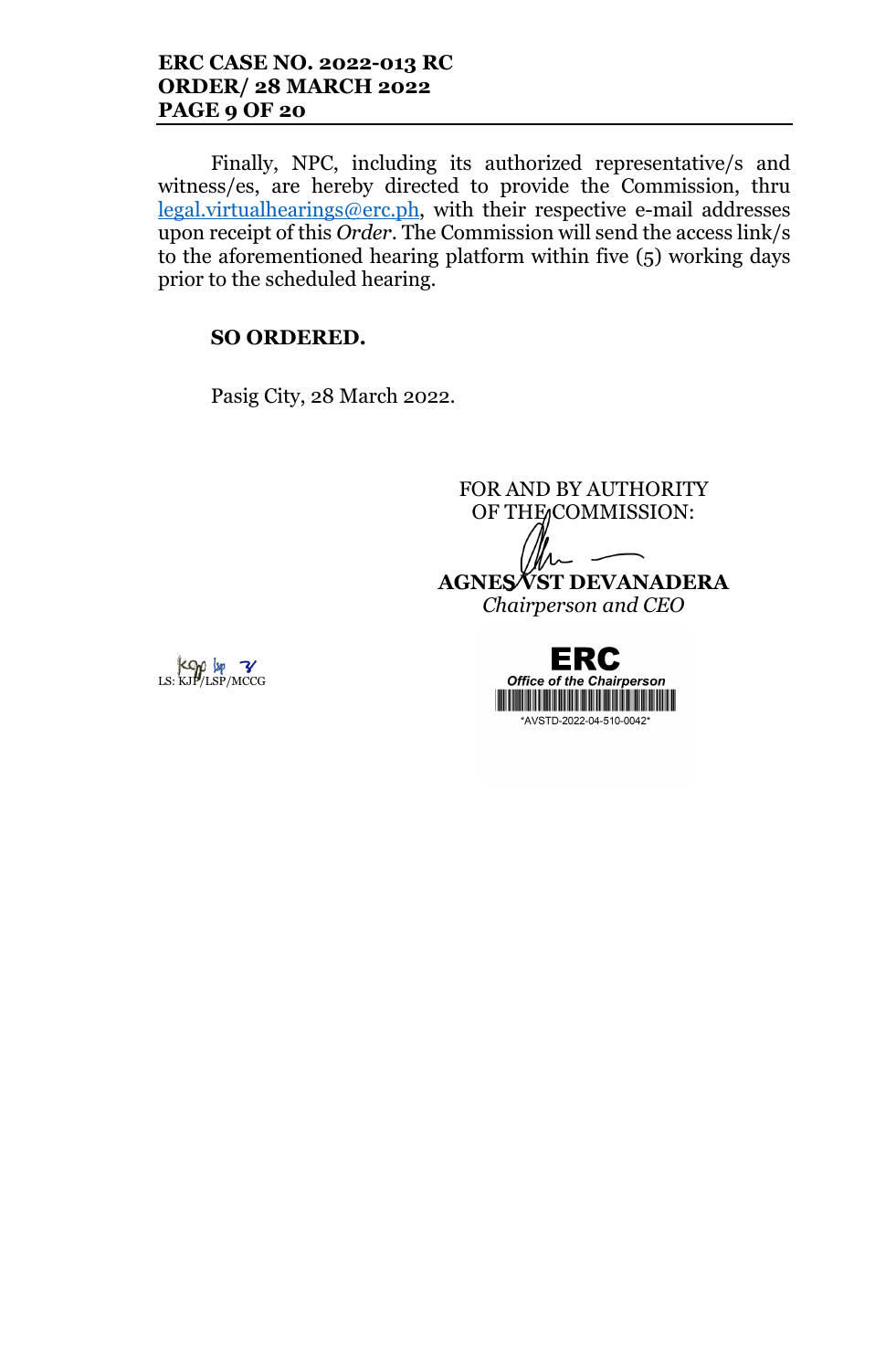### **ERC CASE NO. 2022-013 RC ORDER/ 28 MARCH 2022 PAGE 9 OF 20**

Finally, NPC, including its authorized representative/s and witness/es, are hereby directed to provide the Commission, thru legal.virtualhearings@erc.ph, with their respective e-mail addresses upon receipt of this *Order*. The Commission will send the access link/s to the aforementioned hearing platform within five (5) working days prior to the scheduled hearing.

## **SO ORDERED.**

Pasig City, 28 March 2022.

FOR AND BY AUTHORITY OF THE COMMISSION: **AGNES VST DEVANADERA** *Chairperson and CEO*

 $Kop$   $\downarrow$   $\sim$   $KJ$   $\downarrow$   $\sim$   $KJ$   $\downarrow$   $\sim$   $KJ$   $\downarrow$   $\sim$   $KJ$   $\downarrow$   $\sim$   $KJ$   $\downarrow$   $\sim$   $KJ$   $\downarrow$   $\sim$   $KJ$ 

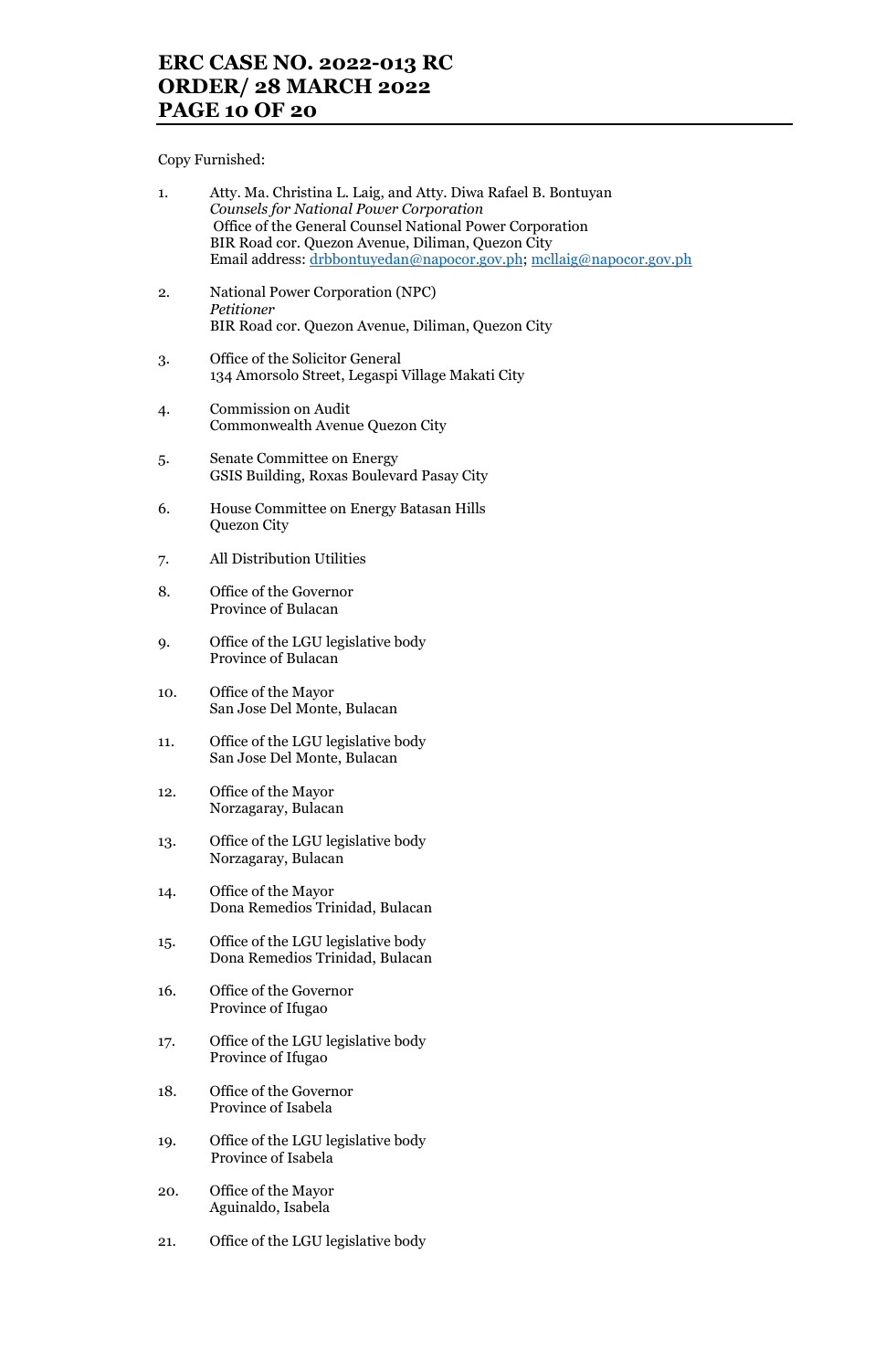## **ERC CASE NO. 2022-013 RC ORDER/ 28 MARCH 2022 PAGE 10 OF 20**

Copy Furnished:

| 1.  | Atty. Ma. Christina L. Laig, and Atty. Diwa Rafael B. Bontuyan<br><b>Counsels for National Power Corporation</b><br>Office of the General Counsel National Power Corporation<br>BIR Road cor. Quezon Avenue, Diliman, Quezon City<br>Email address: drbbontuyedan@napocor.gov.ph; mcllaig@napocor.gov.ph |
|-----|----------------------------------------------------------------------------------------------------------------------------------------------------------------------------------------------------------------------------------------------------------------------------------------------------------|
| 2.  | National Power Corporation (NPC)<br>Petitioner<br>BIR Road cor. Quezon Avenue, Diliman, Quezon City                                                                                                                                                                                                      |
| 3.  | Office of the Solicitor General<br>134 Amorsolo Street, Legaspi Village Makati City                                                                                                                                                                                                                      |
| 4.  | Commission on Audit<br>Commonwealth Avenue Quezon City                                                                                                                                                                                                                                                   |
| 5.  | Senate Committee on Energy<br>GSIS Building, Roxas Boulevard Pasay City                                                                                                                                                                                                                                  |
| 6.  | House Committee on Energy Batasan Hills<br>Quezon City                                                                                                                                                                                                                                                   |
| 7.  | All Distribution Utilities                                                                                                                                                                                                                                                                               |
| 8.  | Office of the Governor<br>Province of Bulacan                                                                                                                                                                                                                                                            |
| 9.  | Office of the LGU legislative body<br>Province of Bulacan                                                                                                                                                                                                                                                |
| 10. | Office of the Mayor<br>San Jose Del Monte, Bulacan                                                                                                                                                                                                                                                       |
| 11. | Office of the LGU legislative body<br>San Jose Del Monte, Bulacan                                                                                                                                                                                                                                        |
| 12. | Office of the Mayor<br>Norzagaray, Bulacan                                                                                                                                                                                                                                                               |
| 13. | Office of the LGU legislative body<br>Norzagaray, Bulacan                                                                                                                                                                                                                                                |
| 14. | Office of the Mayor<br>Dona Remedios Trinidad, Bulacan                                                                                                                                                                                                                                                   |
| 15. | Office of the LGU legislative body<br>Dona Remedios Trinidad, Bulacan                                                                                                                                                                                                                                    |
| 16. | Office of the Governor<br>Province of Ifugao                                                                                                                                                                                                                                                             |
| 17. | Office of the LGU legislative body<br>Province of Ifugao                                                                                                                                                                                                                                                 |
| 18. | Office of the Governor<br>Province of Isabela                                                                                                                                                                                                                                                            |
| 19. | Office of the LGU legislative body<br>Province of Isabela                                                                                                                                                                                                                                                |
| 20. | Office of the Mayor<br>Aguinaldo, Isabela                                                                                                                                                                                                                                                                |
| 21. | Office of the LGU legislative body                                                                                                                                                                                                                                                                       |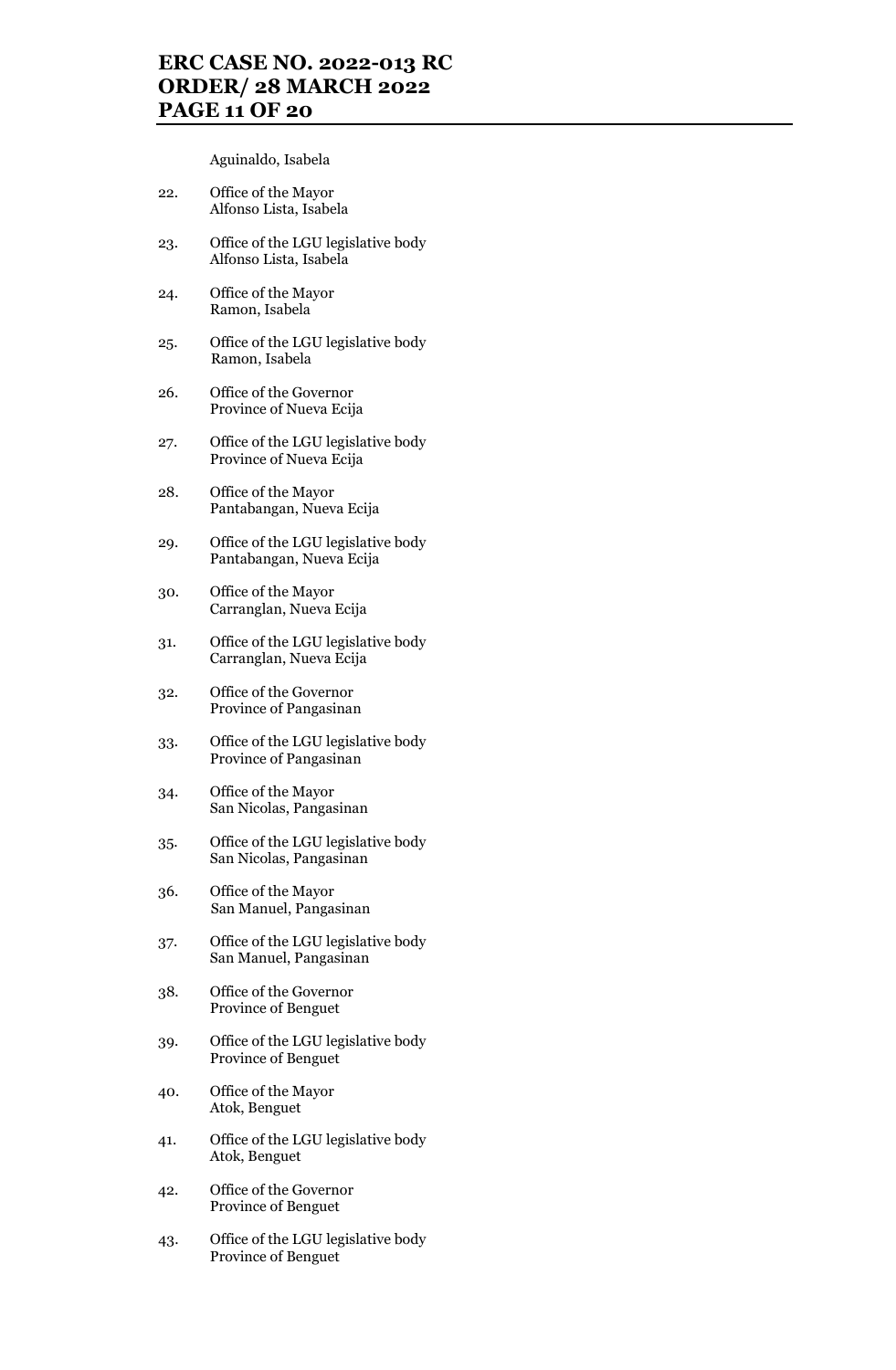## **ERC CASE NO. 2022-013 RC ORDER/ 28 MARCH 2022 PAGE 11 OF 20**

Aguinaldo, Isabela

- 22. Office of the Mayor Alfonso Lista, Isabela
- 23. Office of the LGU legislative body Alfonso Lista, Isabela
- 24. Office of the Mayor Ramon, Isabela
- 25. Office of the LGU legislative body Ramon, Isabela
- 26. Office of the Governor Province of Nueva Ecija
- 27. Office of the LGU legislative body Province of Nueva Ecija
- 28. Office of the Mayor Pantabangan, Nueva Ecija
- 29. Office of the LGU legislative body Pantabangan, Nueva Ecija
- 30. Office of the Mayor Carranglan, Nueva Ecija
- 31. Office of the LGU legislative body Carranglan, Nueva Ecija
- 32. Office of the Governor Province of Pangasinan
- 33. Office of the LGU legislative body Province of Pangasinan
- 34. Office of the Mayor San Nicolas, Pangasinan
- 35. Office of the LGU legislative body San Nicolas, Pangasinan
- 36. Office of the Mayor San Manuel, Pangasinan
- 37. Office of the LGU legislative body San Manuel, Pangasinan
- 38. Office of the Governor Province of Benguet
- 39. Office of the LGU legislative body Province of Benguet
- 40. Office of the Mayor Atok, Benguet
- 41. Office of the LGU legislative body Atok, Benguet
- 42. Office of the Governor Province of Benguet
- 43. Office of the LGU legislative body Province of Benguet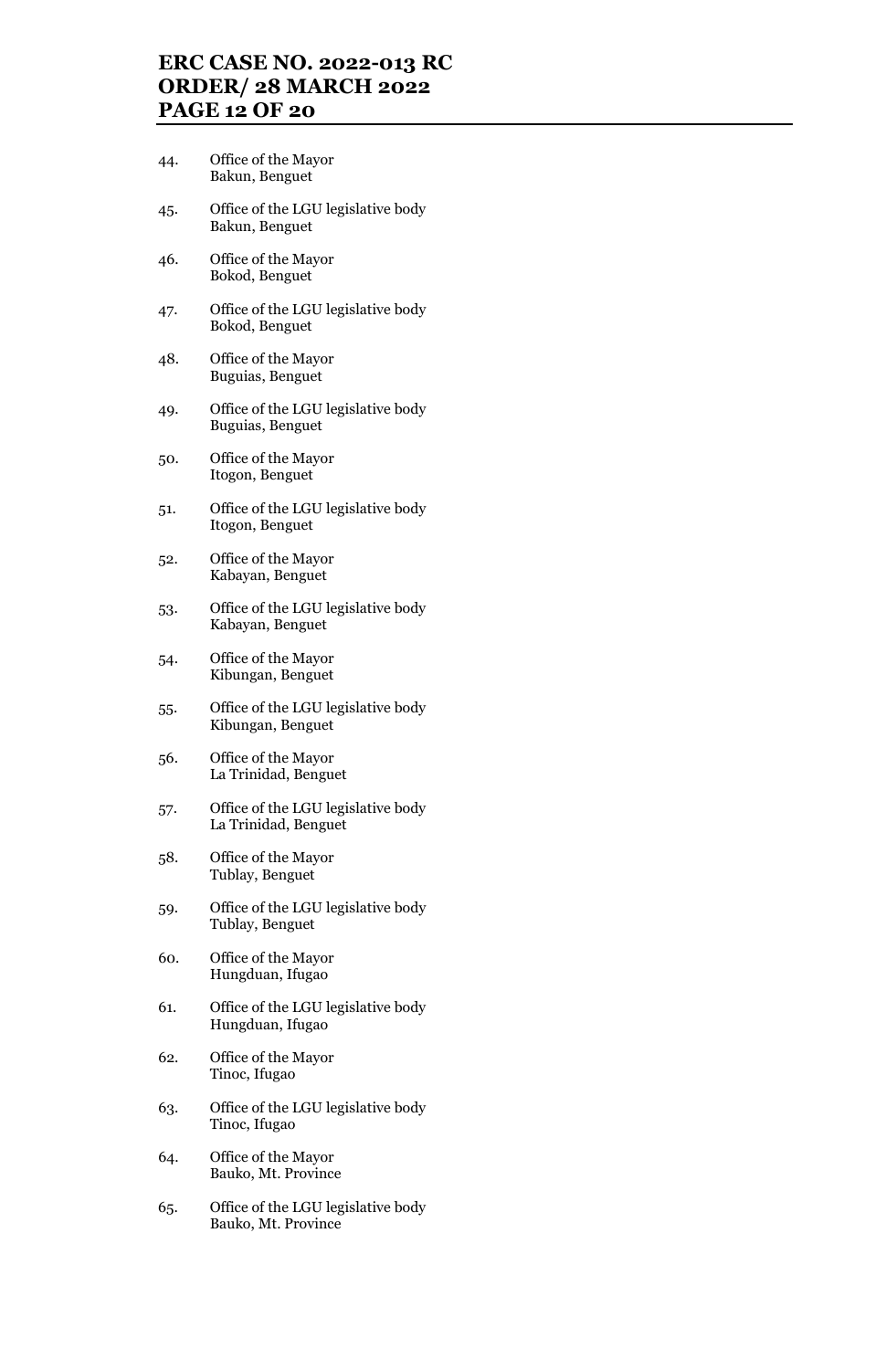## **ERC CASE NO. 2022-013 RC ORDER/ 28 MARCH 2022 PAGE 12 OF 20**

- 44. Office of the Mayor Bakun, Benguet
- 45. Office of the LGU legislative body Bakun, Benguet
- 46. Office of the Mayor Bokod, Benguet
- 47. Office of the LGU legislative body Bokod, Benguet
- 48. Office of the Mayor Buguias, Benguet
- 49. Office of the LGU legislative body Buguias, Benguet
- 50. Office of the Mayor Itogon, Benguet
- 51. Office of the LGU legislative body Itogon, Benguet
- 52. Office of the Mayor Kabayan, Benguet
- 53. Office of the LGU legislative body Kabayan, Benguet
- 54. Office of the Mayor Kibungan, Benguet
- 55. Office of the LGU legislative body Kibungan, Benguet
- 56. Office of the Mayor La Trinidad, Benguet
- 57. Office of the LGU legislative body La Trinidad, Benguet
- 58. Office of the Mayor Tublay, Benguet
- 59. Office of the LGU legislative body Tublay, Benguet
- 60. Office of the Mayor Hungduan, Ifugao
- 61. Office of the LGU legislative body Hungduan, Ifugao
- 62. Office of the Mayor Tinoc, Ifugao
- 63. Office of the LGU legislative body Tinoc, Ifugao
- 64. Office of the Mayor Bauko, Mt. Province
- 65. Office of the LGU legislative body Bauko, Mt. Province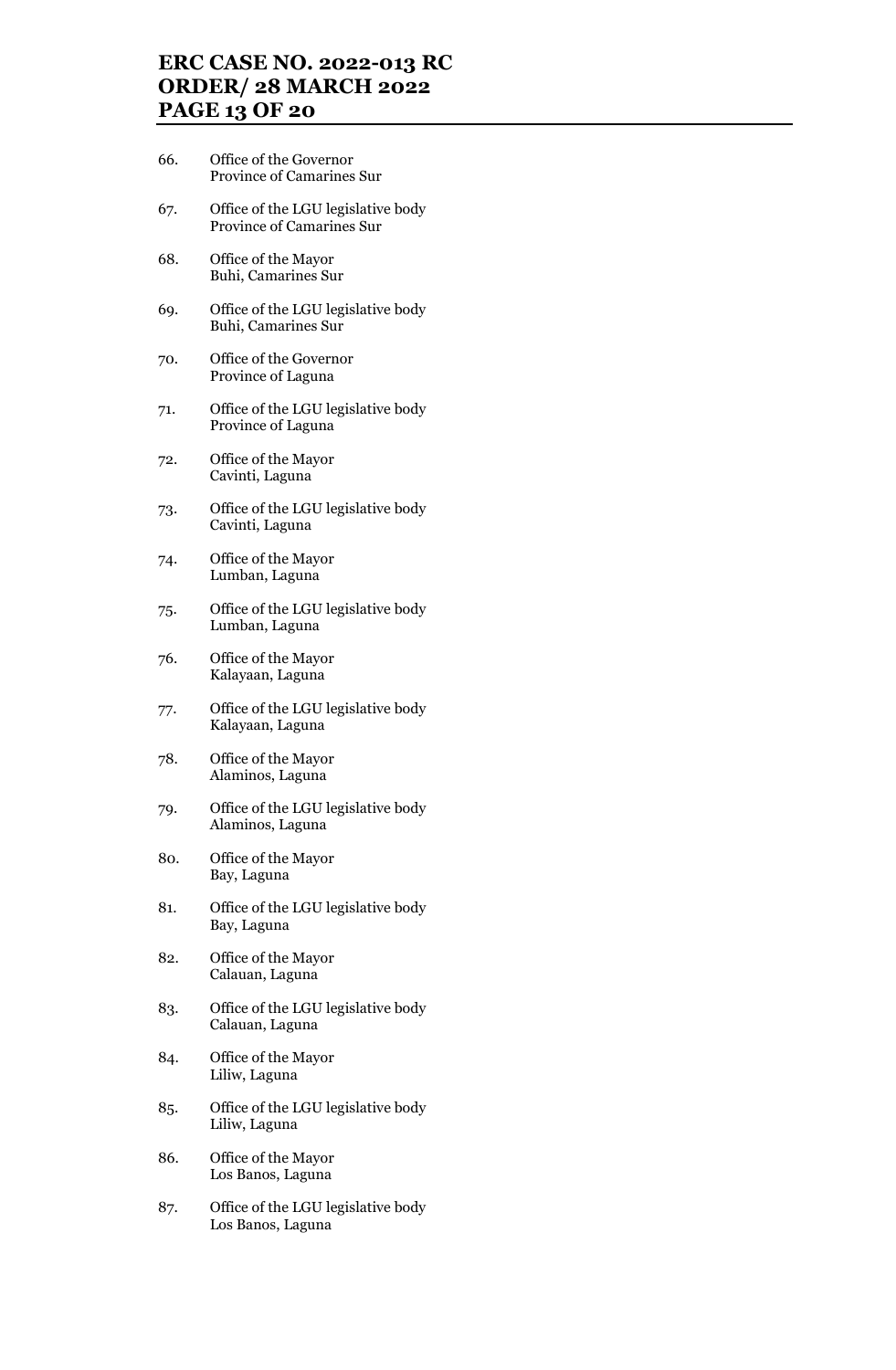## **ERC CASE NO. 2022-013 RC ORDER/ 28 MARCH 2022 PAGE 13 OF 20**

- 66. Office of the Governor Province of Camarines Sur
- 67. Office of the LGU legislative body Province of Camarines Sur
- 68. Office of the Mayor Buhi, Camarines Sur
- 69. Office of the LGU legislative body Buhi, Camarines Sur
- 70. Office of the Governor Province of Laguna
- 71. Office of the LGU legislative body Province of Laguna
- 72. Office of the Mayor Cavinti, Laguna
- 73. Office of the LGU legislative body Cavinti, Laguna
- 74. Office of the Mayor Lumban, Laguna
- 75. Office of the LGU legislative body Lumban, Laguna
- 76. Office of the Mayor Kalayaan, Laguna
- 77. Office of the LGU legislative body Kalayaan, Laguna
- 78. Office of the Mayor Alaminos, Laguna
- 79. Office of the LGU legislative body Alaminos, Laguna
- 80. Office of the Mayor Bay, Laguna
- 81. Office of the LGU legislative body Bay, Laguna
- 82. Office of the Mayor Calauan, Laguna
- 83. Office of the LGU legislative body Calauan, Laguna
- 84. Office of the Mayor Liliw, Laguna
- 85. Office of the LGU legislative body Liliw, Laguna
- 86. Office of the Mayor Los Banos, Laguna
- 87. Office of the LGU legislative body Los Banos, Laguna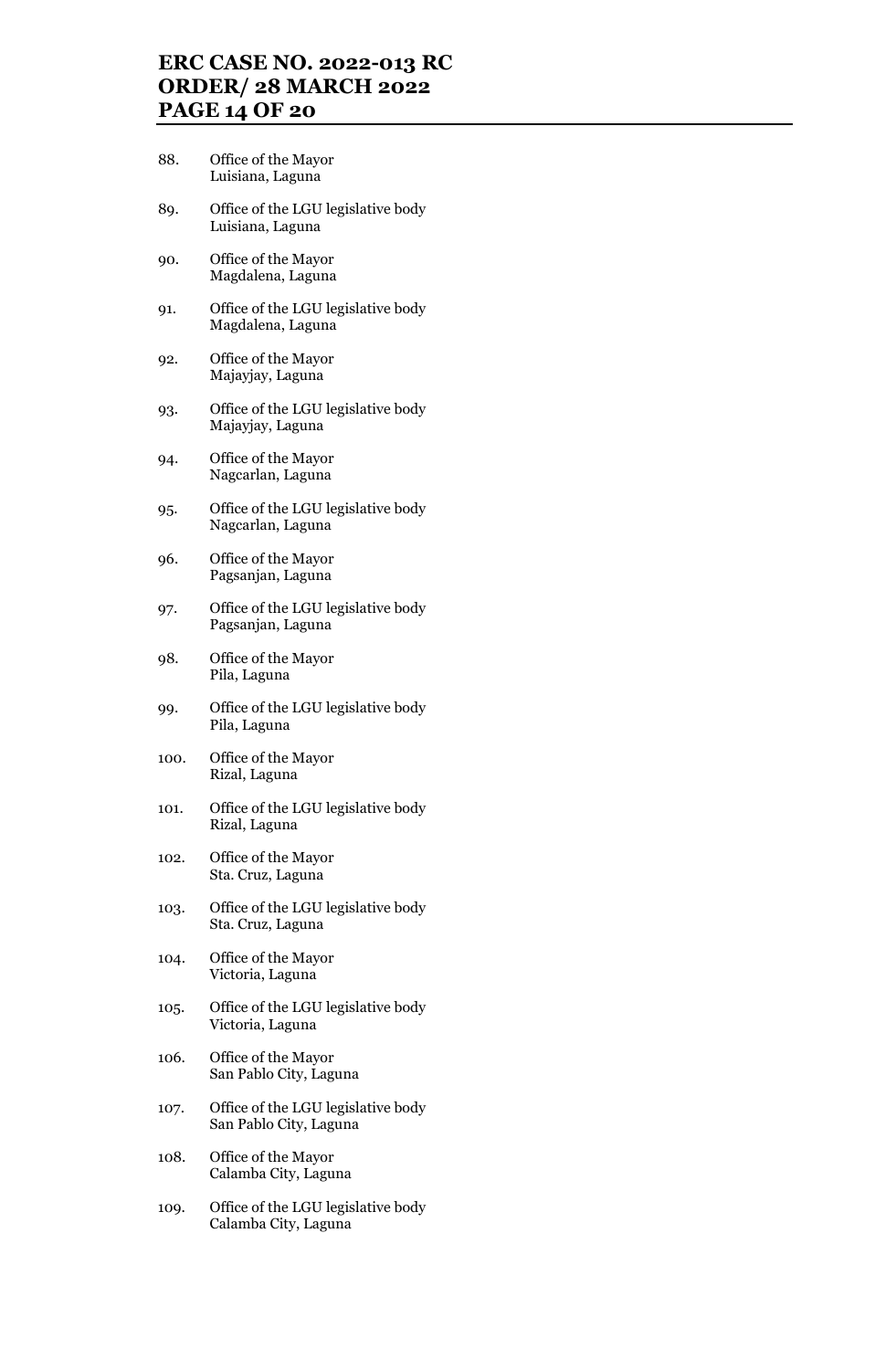## **ERC CASE NO. 2022-013 RC ORDER/ 28 MARCH 2022 PAGE 14 OF 20**

- 88. Office of the Mayor Luisiana, Laguna
- 89. Office of the LGU legislative body Luisiana, Laguna
- 90. Office of the Mayor Magdalena, Laguna
- 91. Office of the LGU legislative body Magdalena, Laguna
- 92. Office of the Mayor Majayjay, Laguna
- 93. Office of the LGU legislative body Majayjay, Laguna
- 94. Office of the Mayor Nagcarlan, Laguna
- 95. Office of the LGU legislative body Nagcarlan, Laguna
- 96. Office of the Mayor Pagsanjan, Laguna
- 97. Office of the LGU legislative body Pagsanjan, Laguna
- 98. Office of the Mayor Pila, Laguna
- 99. Office of the LGU legislative body Pila, Laguna
- 100. Office of the Mayor Rizal, Laguna
- 101. Office of the LGU legislative body Rizal, Laguna
- 102. Office of the Mayor Sta. Cruz, Laguna
- 103. Office of the LGU legislative body Sta. Cruz, Laguna
- 104. Office of the Mayor Victoria, Laguna
- 105. Office of the LGU legislative body Victoria, Laguna
- 106. Office of the Mayor San Pablo City, Laguna
- 107. Office of the LGU legislative body San Pablo City, Laguna
- 108. Office of the Mayor Calamba City, Laguna
- 109. Office of the LGU legislative body Calamba City, Laguna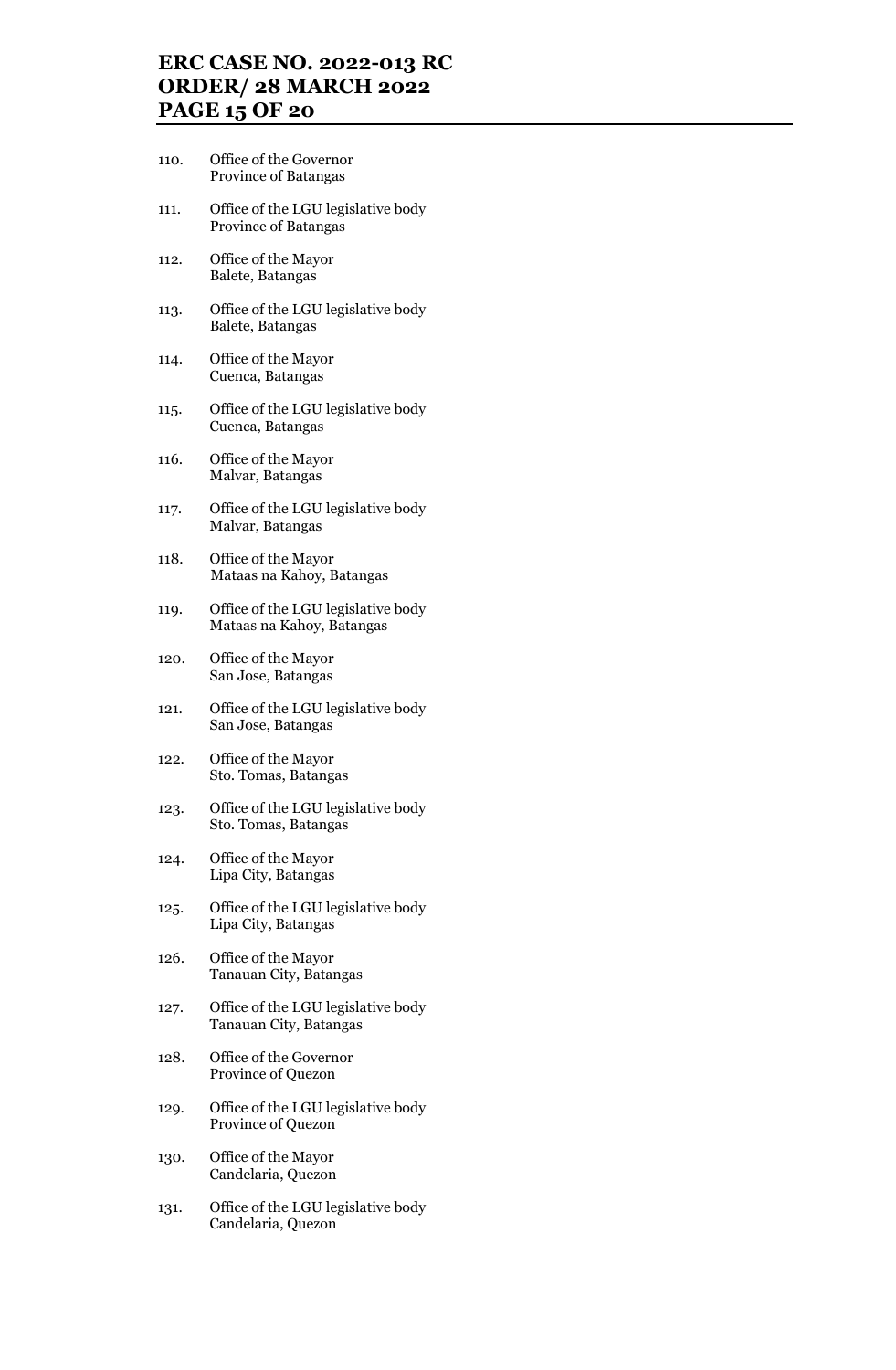## **ERC CASE NO. 2022-013 RC ORDER/ 28 MARCH 2022 PAGE 15 OF 20**

- 110. Office of the Governor Province of Batangas
- 111. Office of the LGU legislative body Province of Batangas
- 112. Office of the Mayor Balete, Batangas
- 113. Office of the LGU legislative body Balete, Batangas
- 114. Office of the Mayor Cuenca, Batangas
- 115. Office of the LGU legislative body Cuenca, Batangas
- 116. Office of the Mayor Malvar, Batangas
- 117. Office of the LGU legislative body Malvar, Batangas
- 118. Office of the Mayor Mataas na Kahoy, Batangas
- 119. Office of the LGU legislative body Mataas na Kahoy, Batangas
- 120. Office of the Mayor San Jose, Batangas
- 121. Office of the LGU legislative body San Jose, Batangas
- 122. Office of the Mayor Sto. Tomas, Batangas
- 123. Office of the LGU legislative body Sto. Tomas, Batangas
- 124. Office of the Mayor Lipa City, Batangas
- 125. Office of the LGU legislative body Lipa City, Batangas
- 126. Office of the Mayor Tanauan City, Batangas
- 127. Office of the LGU legislative body Tanauan City, Batangas
- 128. Office of the Governor Province of Quezon
- 129. Office of the LGU legislative body Province of Quezon
- 130. Office of the Mayor Candelaria, Quezon
- 131. Office of the LGU legislative body Candelaria, Quezon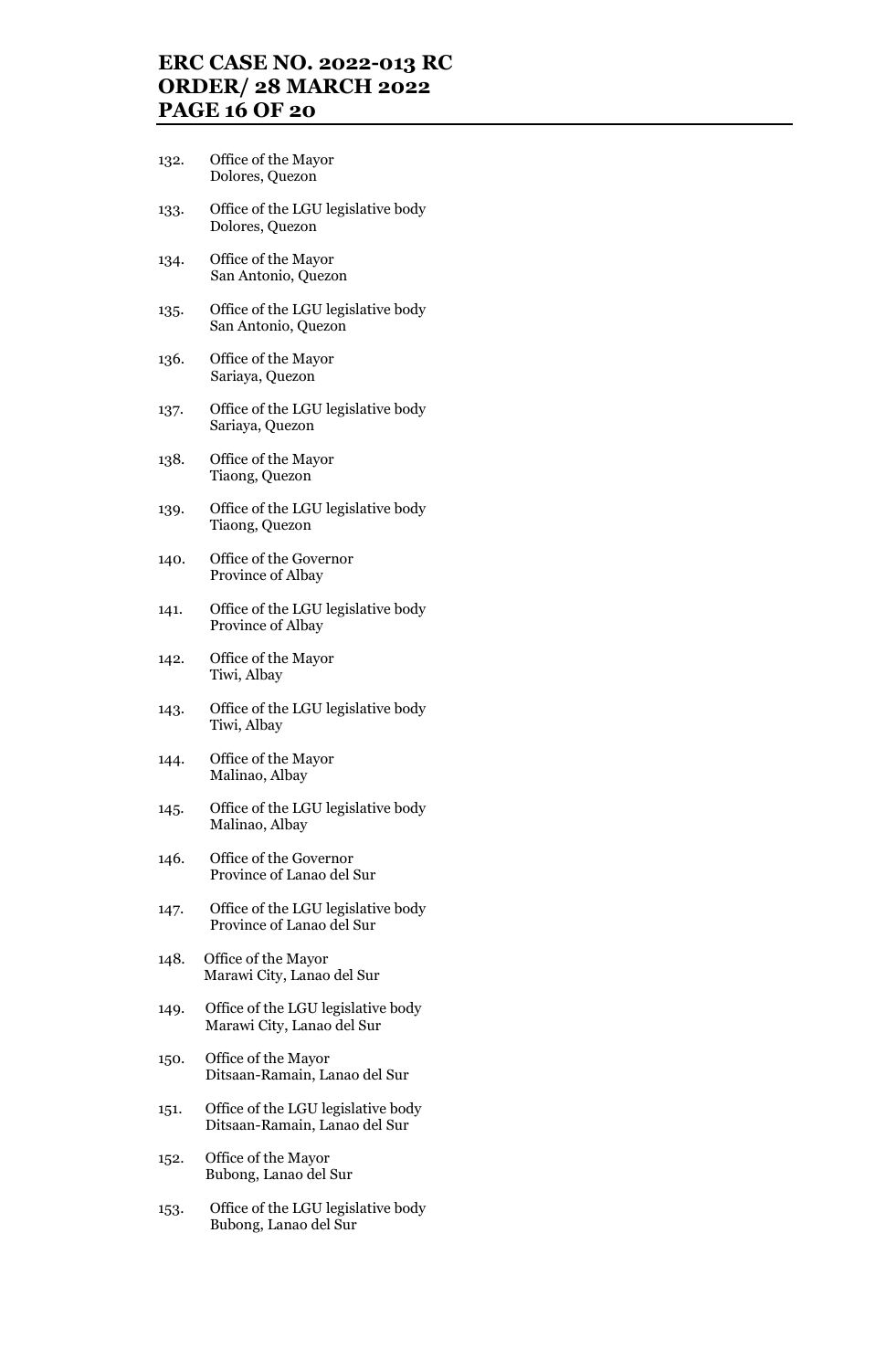### **ERC CASE NO. 2022-013 RC ORDER/ 28 MARCH 2022 PAGE 16 OF 20**

- 132. Office of the Mayor Dolores, Quezon
- 133. Office of the LGU legislative body Dolores, Quezon
- 134. Office of the Mayor San Antonio, Quezon
- 135. Office of the LGU legislative body San Antonio, Quezon
- 136. Office of the Mayor Sariaya, Quezon
- 137. Office of the LGU legislative body Sariaya, Quezon
- 138. Office of the Mayor Tiaong, Quezon
- 139. Office of the LGU legislative body Tiaong, Quezon
- 140. Office of the Governor Province of Albay
- 141. Office of the LGU legislative body Province of Albay
- 142. Office of the Mayor Tiwi, Albay
- 143. Office of the LGU legislative body Tiwi, Albay
- 144. Office of the Mayor Malinao, Albay
- 145. Office of the LGU legislative body Malinao, Albay
- 146. Office of the Governor Province of Lanao del Sur
- 147. Office of the LGU legislative body Province of Lanao del Sur
- 148. Office of the Mayor Marawi City, Lanao del Sur
- 149. Office of the LGU legislative body Marawi City, Lanao del Sur
- 150. Office of the Mayor Ditsaan-Ramain, Lanao del Sur
- 151. Office of the LGU legislative body Ditsaan-Ramain, Lanao del Sur
- 152. Office of the Mayor Bubong, Lanao del Sur
- 153. Office of the LGU legislative body Bubong, Lanao del Sur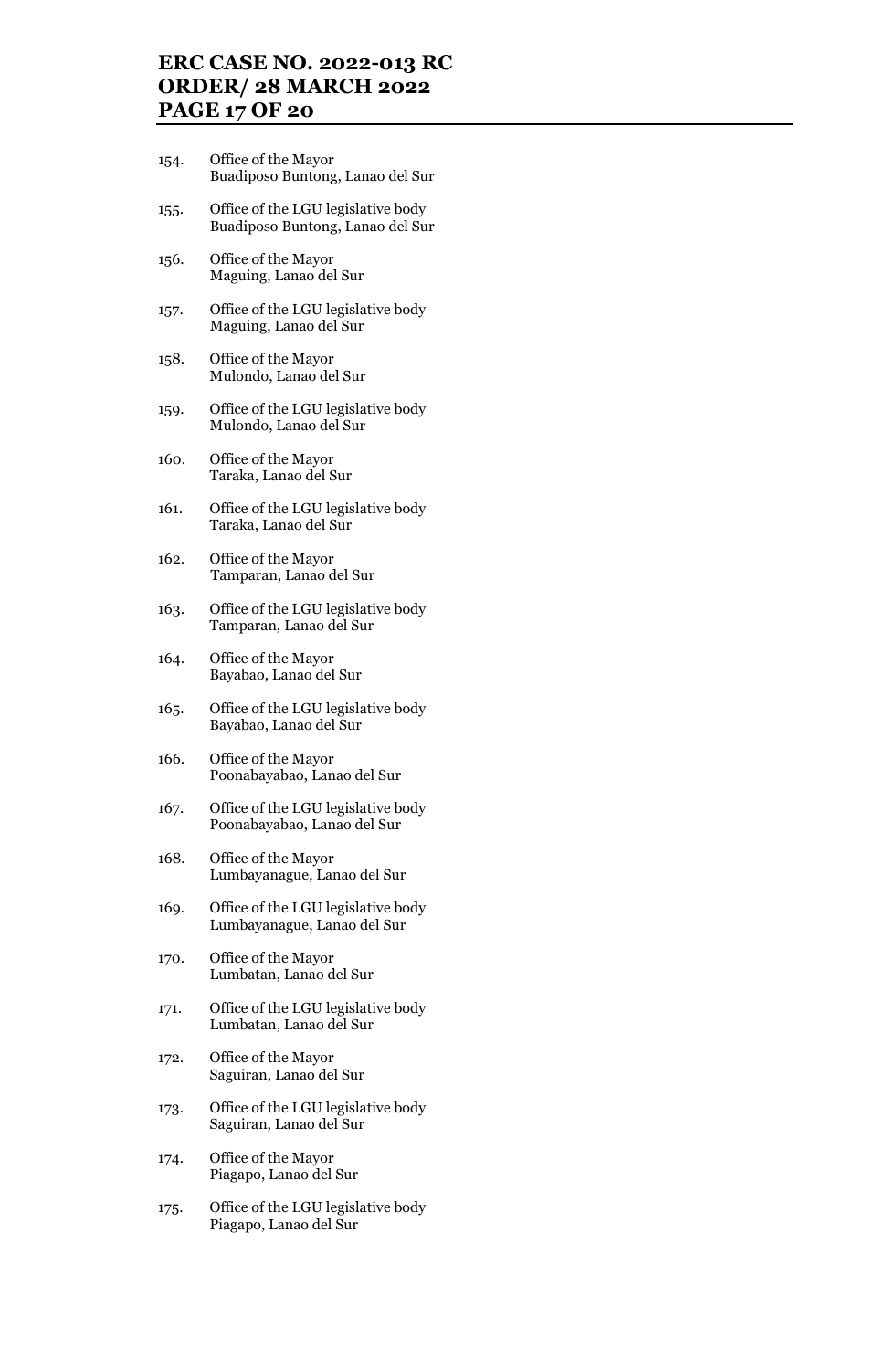## **ERC CASE NO. 2022-013 RC ORDER/ 28 MARCH 2022 PAGE 17 OF 20**

- 154. Office of the Mayor Buadiposo Buntong, Lanao del Sur
- 155. Office of the LGU legislative body Buadiposo Buntong, Lanao del Sur
- 156. Office of the Mayor Maguing, Lanao del Sur
- 157. Office of the LGU legislative body Maguing, Lanao del Sur
- 158. Office of the Mayor Mulondo, Lanao del Sur
- 159. Office of the LGU legislative body Mulondo, Lanao del Sur
- 160. Office of the Mayor Taraka, Lanao del Sur
- 161. Office of the LGU legislative body Taraka, Lanao del Sur
- 162. Office of the Mayor Tamparan, Lanao del Sur
- 163. Office of the LGU legislative body Tamparan, Lanao del Sur
- 164. Office of the Mayor Bayabao, Lanao del Sur
- 165. Office of the LGU legislative body Bayabao, Lanao del Sur
- 166. Office of the Mayor Poonabayabao, Lanao del Sur
- 167. Office of the LGU legislative body Poonabayabao, Lanao del Sur
- 168. Office of the Mayor Lumbayanague, Lanao del Sur
- 169. Office of the LGU legislative body Lumbayanague, Lanao del Sur
- 170. Office of the Mayor Lumbatan, Lanao del Sur
- 171. Office of the LGU legislative body Lumbatan, Lanao del Sur
- 172. Office of the Mayor Saguiran, Lanao del Sur
- 173. Office of the LGU legislative body Saguiran, Lanao del Sur
- 174. Office of the Mayor Piagapo, Lanao del Sur
- 175. Office of the LGU legislative body Piagapo, Lanao del Sur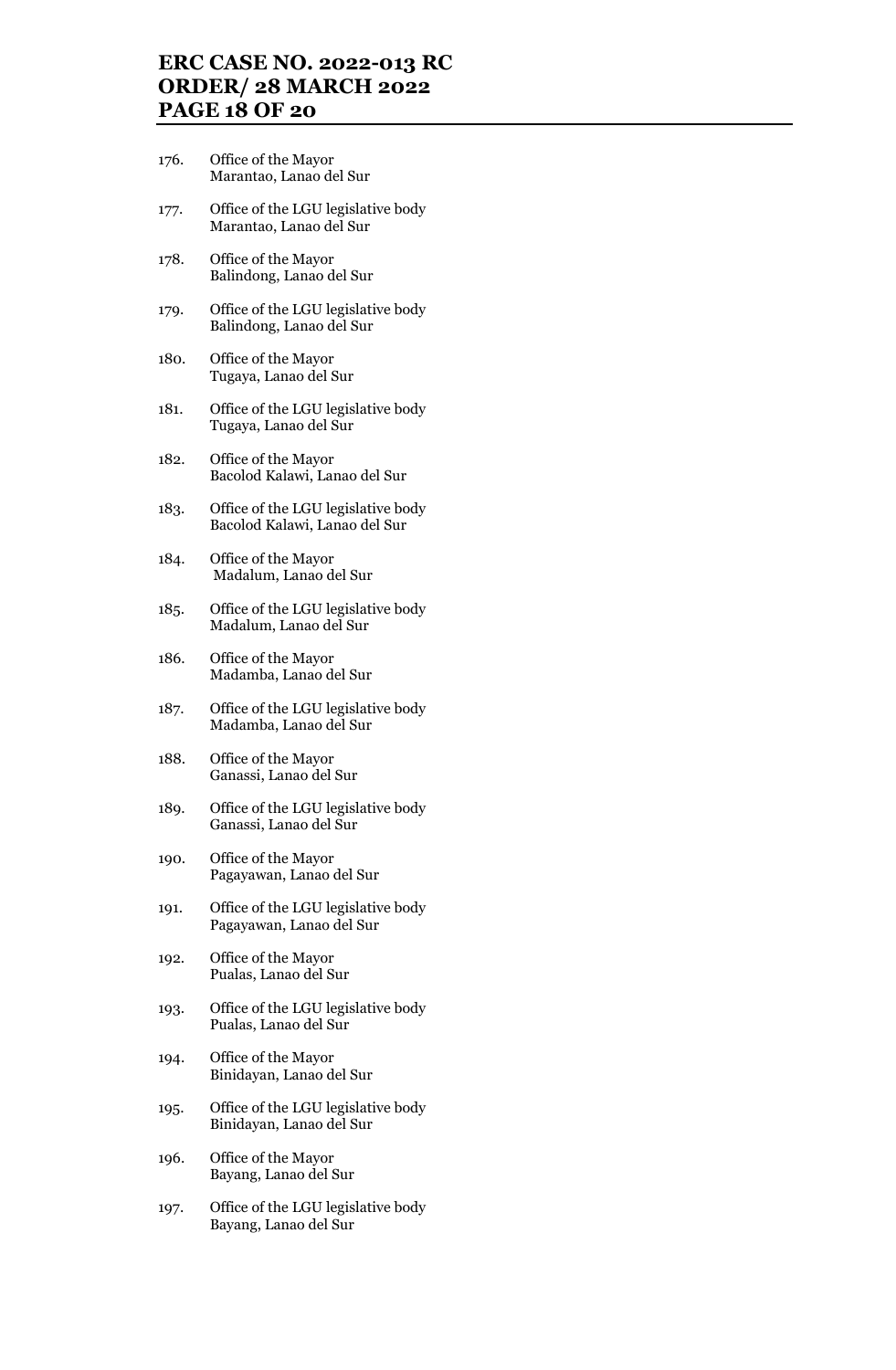## **ERC CASE NO. 2022-013 RC ORDER/ 28 MARCH 2022 PAGE 18 OF 20**

- 176. Office of the Mayor Marantao, Lanao del Sur
- 177. Office of the LGU legislative body Marantao, Lanao del Sur
- 178. Office of the Mayor Balindong, Lanao del Sur
- 179. Office of the LGU legislative body Balindong, Lanao del Sur
- 180. Office of the Mayor Tugaya, Lanao del Sur
- 181. Office of the LGU legislative body Tugaya, Lanao del Sur
- 182. Office of the Mayor Bacolod Kalawi, Lanao del Sur
- 183. Office of the LGU legislative body Bacolod Kalawi, Lanao del Sur
- 184. Office of the Mayor Madalum, Lanao del Sur
- 185. Office of the LGU legislative body Madalum, Lanao del Sur
- 186. Office of the Mayor Madamba, Lanao del Sur
- 187. Office of the LGU legislative body Madamba, Lanao del Sur
- 188. Office of the Mayor Ganassi, Lanao del Sur
- 189. Office of the LGU legislative body Ganassi, Lanao del Sur
- 190. Office of the Mayor Pagayawan, Lanao del Sur
- 191. Office of the LGU legislative body Pagayawan, Lanao del Sur
- 192. Office of the Mayor Pualas, Lanao del Sur
- 193. Office of the LGU legislative body Pualas, Lanao del Sur
- 194. Office of the Mayor Binidayan, Lanao del Sur
- 195. Office of the LGU legislative body Binidayan, Lanao del Sur
- 196. Office of the Mayor Bayang, Lanao del Sur
- 197. Office of the LGU legislative body Bayang, Lanao del Sur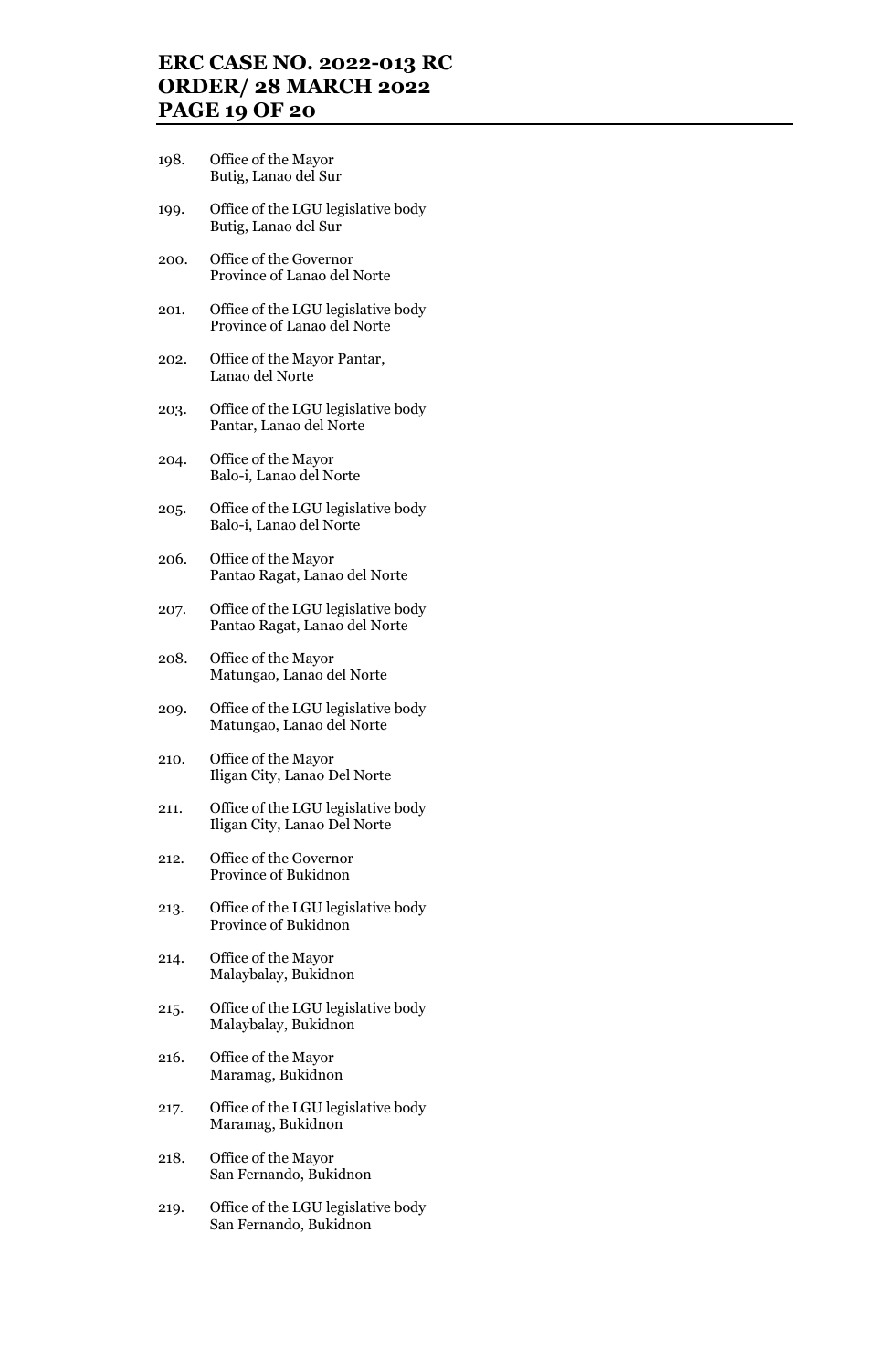## **ERC CASE NO. 2022-013 RC ORDER/ 28 MARCH 2022 PAGE 19 OF 20**

- 198. Office of the Mayor Butig, Lanao del Sur
- 199. Office of the LGU legislative body Butig, Lanao del Sur
- 200. Office of the Governor Province of Lanao del Norte
- 201. Office of the LGU legislative body Province of Lanao del Norte
- 202. Office of the Mayor Pantar, Lanao del Norte
- 203. Office of the LGU legislative body Pantar, Lanao del Norte
- 204. Office of the Mayor Balo-i, Lanao del Norte
- 205. Office of the LGU legislative body Balo-i, Lanao del Norte
- 206. Office of the Mayor Pantao Ragat, Lanao del Norte
- 207. Office of the LGU legislative body Pantao Ragat, Lanao del Norte
- 208. Office of the Mayor Matungao, Lanao del Norte
- 209. Office of the LGU legislative body Matungao, Lanao del Norte
- 210. Office of the Mayor Iligan City, Lanao Del Norte
- 211. Office of the LGU legislative body Iligan City, Lanao Del Norte
- 212. Office of the Governor Province of Bukidnon
- 213. Office of the LGU legislative body Province of Bukidnon
- 214. Office of the Mayor Malaybalay, Bukidnon
- 215. Office of the LGU legislative body Malaybalay, Bukidnon
- 216. Office of the Mayor Maramag, Bukidnon
- 217. Office of the LGU legislative body Maramag, Bukidnon
- 218. Office of the Mayor San Fernando, Bukidnon
- 219. Office of the LGU legislative body San Fernando, Bukidnon